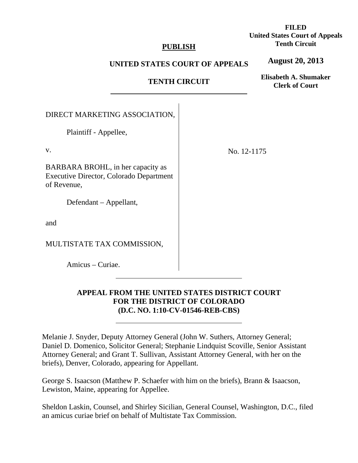## **PUBLISH**

# **FILED United States Court of Appeals Tenth Circuit**

## **UNITED STATES COURT OF APPEALS**

**August 20, 2013**

# **TENTH CIRCUIT**

**Elisabeth A. Shumaker Clerk of Court**

| DIRECT MARKETING ASSOCIATION,                                                                      |             |
|----------------------------------------------------------------------------------------------------|-------------|
| Plaintiff - Appellee,                                                                              |             |
| $V_{\cdot}$                                                                                        | No. 12-1175 |
| BARBARA BROHL, in her capacity as<br><b>Executive Director, Colorado Department</b><br>of Revenue, |             |
| Defendant – Appellant,                                                                             |             |
| and                                                                                                |             |
| MULTISTATE TAX COMMISSION,                                                                         |             |
| Amicus – Curiae.                                                                                   |             |

 $\overline{a}$ 

 $\overline{a}$ 

# **APPEAL FROM THE UNITED STATES DISTRICT COURT FOR THE DISTRICT OF COLORADO (D.C. NO. 1:10-CV-01546-REB-CBS)**

Melanie J. Snyder, Deputy Attorney General (John W. Suthers, Attorney General; Daniel D. Domenico, Solicitor General; Stephanie Lindquist Scoville, Senior Assistant Attorney General; and Grant T. Sullivan, Assistant Attorney General, with her on the briefs), Denver, Colorado, appearing for Appellant.

George S. Isaacson (Matthew P. Schaefer with him on the briefs), Brann & Isaacson, Lewiston, Maine, appearing for Appellee.

Sheldon Laskin, Counsel, and Shirley Sicilian, General Counsel, Washington, D.C., filed an amicus curiae brief on behalf of Multistate Tax Commission.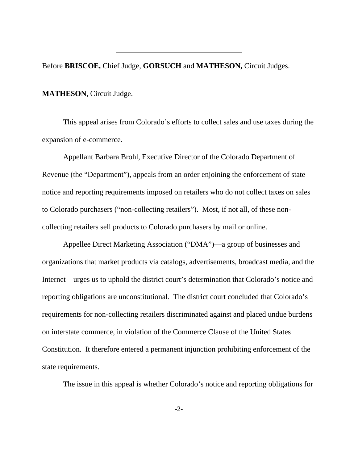Before **BRISCOE,** Chief Judge, **GORSUCH** and **MATHESON,** Circuit Judges.

**MATHESON**, Circuit Judge.

This appeal arises from Colorado's efforts to collect sales and use taxes during the expansion of e-commerce.

Appellant Barbara Brohl, Executive Director of the Colorado Department of Revenue (the "Department"), appeals from an order enjoining the enforcement of state notice and reporting requirements imposed on retailers who do not collect taxes on sales to Colorado purchasers ("non-collecting retailers"). Most, if not all, of these noncollecting retailers sell products to Colorado purchasers by mail or online.

Appellee Direct Marketing Association ("DMA")—a group of businesses and organizations that market products via catalogs, advertisements, broadcast media, and the Internet—urges us to uphold the district court's determination that Colorado's notice and reporting obligations are unconstitutional. The district court concluded that Colorado's requirements for non-collecting retailers discriminated against and placed undue burdens on interstate commerce, in violation of the Commerce Clause of the United States Constitution. It therefore entered a permanent injunction prohibiting enforcement of the state requirements.

The issue in this appeal is whether Colorado's notice and reporting obligations for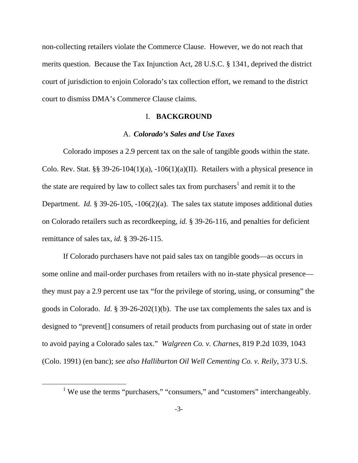non-collecting retailers violate the Commerce Clause. However, we do not reach that merits question. Because the Tax Injunction Act, 28 U.S.C. § 1341, deprived the district court of jurisdiction to enjoin Colorado's tax collection effort, we remand to the district court to dismiss DMA's Commerce Clause claims.

### I. **BACKGROUND**

### A. *Colorado's Sales and Use Taxes*

Colorado imposes a 2.9 percent tax on the sale of tangible goods within the state. Colo. Rev. Stat. §§ 39-26-104(1)(a), -106(1)(a)(II). Retailers with a physical presence in the state are required by law to collect sales tax from purchasers<sup>1</sup> and remit it to the Department. *Id.* § 39-26-105, -106(2)(a). The sales tax statute imposes additional duties on Colorado retailers such as recordkeeping, *id.* § 39-26-116, and penalties for deficient remittance of sales tax, *id.* § 39-26-115.

If Colorado purchasers have not paid sales tax on tangible goods—as occurs in some online and mail-order purchases from retailers with no in-state physical presence they must pay a 2.9 percent use tax "for the privilege of storing, using, or consuming" the goods in Colorado. *Id.* § 39-26-202(1)(b). The use tax complements the sales tax and is designed to "prevent[] consumers of retail products from purchasing out of state in order to avoid paying a Colorado sales tax." *Walgreen Co. v. Charnes*, 819 P.2d 1039, 1043 (Colo. 1991) (en banc); *see also Halliburton Oil Well Cementing Co. v. Reily*, 373 U.S.

<sup>&</sup>lt;u>1</u> <sup>1</sup> We use the terms "purchasers," "consumers," and "customers" interchangeably.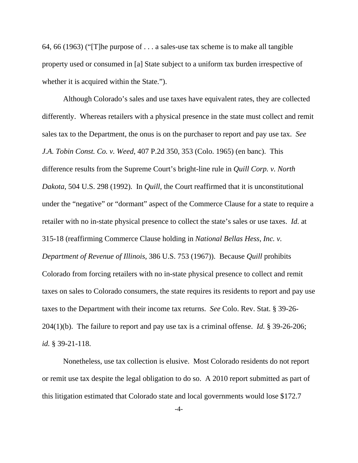64, 66 (1963) ("[T]he purpose of . . . a sales-use tax scheme is to make all tangible property used or consumed in [a] State subject to a uniform tax burden irrespective of whether it is acquired within the State.").

Although Colorado's sales and use taxes have equivalent rates, they are collected differently. Whereas retailers with a physical presence in the state must collect and remit sales tax to the Department, the onus is on the purchaser to report and pay use tax. *See J.A. Tobin Const. Co. v. Weed*, 407 P.2d 350, 353 (Colo. 1965) (en banc). This difference results from the Supreme Court's bright-line rule in *Quill Corp. v. North Dakota*, 504 U.S. 298 (1992). In *Quill*, the Court reaffirmed that it is unconstitutional under the "negative" or "dormant" aspect of the Commerce Clause for a state to require a retailer with no in-state physical presence to collect the state's sales or use taxes. *Id.* at 315-18 (reaffirming Commerce Clause holding in *National Bellas Hess, Inc. v. Department of Revenue of Illinois*, 386 U.S. 753 (1967)). Because *Quill* prohibits Colorado from forcing retailers with no in-state physical presence to collect and remit taxes on sales to Colorado consumers, the state requires its residents to report and pay use taxes to the Department with their income tax returns. *See* Colo. Rev. Stat. § 39-26- 204(1)(b). The failure to report and pay use tax is a criminal offense. *Id.* § 39-26-206; *id.* § 39-21-118.

Nonetheless, use tax collection is elusive. Most Colorado residents do not report or remit use tax despite the legal obligation to do so. A 2010 report submitted as part of this litigation estimated that Colorado state and local governments would lose \$172.7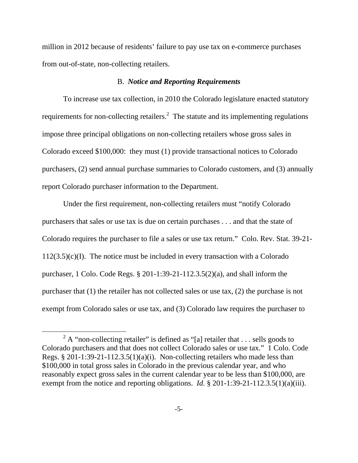million in 2012 because of residents' failure to pay use tax on e-commerce purchases from out-of-state, non-collecting retailers.

#### B. *Notice and Reporting Requirements*

To increase use tax collection, in 2010 the Colorado legislature enacted statutory requirements for non-collecting retailers.<sup>2</sup> The statute and its implementing regulations impose three principal obligations on non-collecting retailers whose gross sales in Colorado exceed \$100,000: they must (1) provide transactional notices to Colorado purchasers, (2) send annual purchase summaries to Colorado customers, and (3) annually report Colorado purchaser information to the Department.

Under the first requirement, non-collecting retailers must "notify Colorado purchasers that sales or use tax is due on certain purchases . . . and that the state of Colorado requires the purchaser to file a sales or use tax return." Colo. Rev. Stat. 39-21-  $112(3.5)(c)(I)$ . The notice must be included in every transaction with a Colorado purchaser, 1 Colo. Code Regs. § 201-1:39-21-112.3.5(2)(a), and shall inform the purchaser that (1) the retailer has not collected sales or use tax, (2) the purchase is not exempt from Colorado sales or use tax, and (3) Colorado law requires the purchaser to

 <sup>2</sup>  $2A$  "non-collecting retailer" is defined as "[a] retailer that . . . sells goods to Colorado purchasers and that does not collect Colorado sales or use tax." 1 Colo. Code Regs. § 201-1:39-21-112.3.5(1)(a)(i). Non-collecting retailers who made less than \$100,000 in total gross sales in Colorado in the previous calendar year, and who reasonably expect gross sales in the current calendar year to be less than \$100,000, are exempt from the notice and reporting obligations. *Id.* § 201-1:39-21-112.3.5(1)(a)(iii).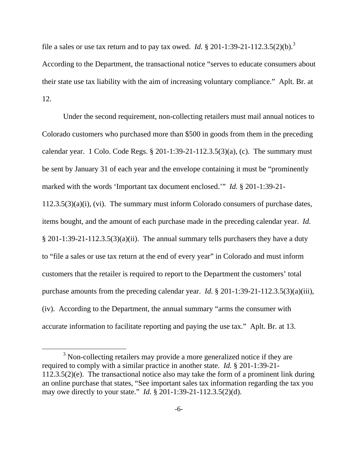file a sales or use tax return and to pay tax owed. *Id.* § 201-1:39-21-112.3.5(2)(b).<sup>3</sup> According to the Department, the transactional notice "serves to educate consumers about their state use tax liability with the aim of increasing voluntary compliance." Aplt. Br. at 12.

Under the second requirement, non-collecting retailers must mail annual notices to Colorado customers who purchased more than \$500 in goods from them in the preceding calendar year. 1 Colo. Code Regs.  $\S 201-1:39-21-112.3.5(3)(a)$ , (c). The summary must be sent by January 31 of each year and the envelope containing it must be "prominently marked with the words 'Important tax document enclosed.'" *Id.* § 201-1:39-21- 112.3.5(3)(a)(i), (vi). The summary must inform Colorado consumers of purchase dates,

items bought, and the amount of each purchase made in the preceding calendar year. *Id.*  $§$  201-1:39-21-112.3.5(3)(a)(ii). The annual summary tells purchasers they have a duty to "file a sales or use tax return at the end of every year" in Colorado and must inform customers that the retailer is required to report to the Department the customers' total purchase amounts from the preceding calendar year. *Id.* § 201-1:39-21-112.3.5(3)(a)(iii), (iv). According to the Department, the annual summary "arms the consumer with accurate information to facilitate reporting and paying the use tax." Aplt. Br. at 13.

 $\frac{1}{3}$  $3$  Non-collecting retailers may provide a more generalized notice if they are required to comply with a similar practice in another state. *Id.* § 201-1:39-21- 112.3.5(2)(e). The transactional notice also may take the form of a prominent link during an online purchase that states, "See important sales tax information regarding the tax you may owe directly to your state." *Id.* § 201-1:39-21-112.3.5(2)(d).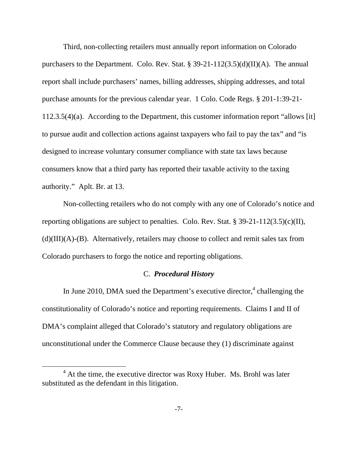Third, non-collecting retailers must annually report information on Colorado purchasers to the Department. Colo. Rev. Stat. § 39-21-112(3.5)(d)(II)(A). The annual report shall include purchasers' names, billing addresses, shipping addresses, and total purchase amounts for the previous calendar year. 1 Colo. Code Regs. § 201-1:39-21- 112.3.5(4)(a). According to the Department, this customer information report "allows [it] to pursue audit and collection actions against taxpayers who fail to pay the tax" and "is designed to increase voluntary consumer compliance with state tax laws because consumers know that a third party has reported their taxable activity to the taxing authority." Aplt. Br. at 13.

Non-collecting retailers who do not comply with any one of Colorado's notice and reporting obligations are subject to penalties. Colo. Rev. Stat. § 39-21-112(3.5)(c)(II),  $(d)(III)(A)$ - $(B)$ . Alternatively, retailers may choose to collect and remit sales tax from Colorado purchasers to forgo the notice and reporting obligations.

## C. *Procedural History*

In June 2010, DMA sued the Department's executive director, $4$  challenging the constitutionality of Colorado's notice and reporting requirements. Claims I and II of DMA's complaint alleged that Colorado's statutory and regulatory obligations are unconstitutional under the Commerce Clause because they (1) discriminate against

 $\overline{4}$  $4$  At the time, the executive director was Roxy Huber. Ms. Brohl was later substituted as the defendant in this litigation.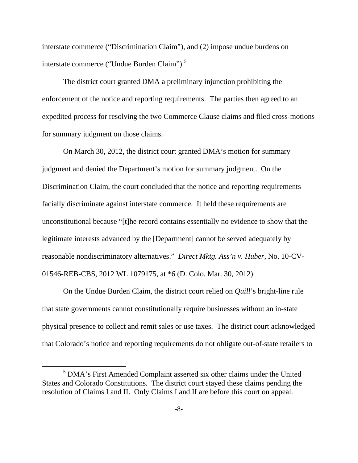interstate commerce ("Discrimination Claim"), and (2) impose undue burdens on interstate commerce ("Undue Burden Claim").<sup>5</sup>

The district court granted DMA a preliminary injunction prohibiting the enforcement of the notice and reporting requirements. The parties then agreed to an expedited process for resolving the two Commerce Clause claims and filed cross-motions for summary judgment on those claims.

On March 30, 2012, the district court granted DMA's motion for summary judgment and denied the Department's motion for summary judgment. On the Discrimination Claim, the court concluded that the notice and reporting requirements facially discriminate against interstate commerce. It held these requirements are unconstitutional because "[t]he record contains essentially no evidence to show that the legitimate interests advanced by the [Department] cannot be served adequately by reasonable nondiscriminatory alternatives." *Direct Mktg. Ass'n v. Huber*, No. 10-CV-01546-REB-CBS, 2012 WL 1079175, at \*6 (D. Colo. Mar. 30, 2012).

On the Undue Burden Claim, the district court relied on *Quill*'s bright-line rule that state governments cannot constitutionally require businesses without an in-state physical presence to collect and remit sales or use taxes. The district court acknowledged that Colorado's notice and reporting requirements do not obligate out-of-state retailers to

 $\frac{1}{5}$  DMA's First Amended Complaint asserted six other claims under the United States and Colorado Constitutions. The district court stayed these claims pending the resolution of Claims I and II. Only Claims I and II are before this court on appeal.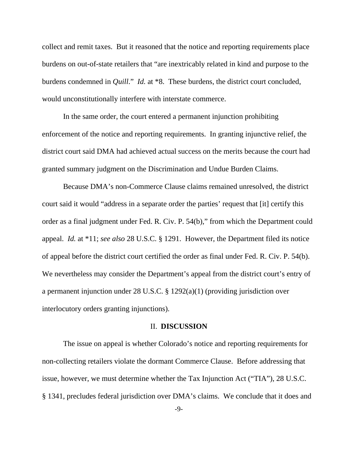collect and remit taxes. But it reasoned that the notice and reporting requirements place burdens on out-of-state retailers that "are inextricably related in kind and purpose to the burdens condemned in *Quill*." *Id.* at \*8. These burdens, the district court concluded, would unconstitutionally interfere with interstate commerce.

In the same order, the court entered a permanent injunction prohibiting enforcement of the notice and reporting requirements. In granting injunctive relief, the district court said DMA had achieved actual success on the merits because the court had granted summary judgment on the Discrimination and Undue Burden Claims.

Because DMA's non-Commerce Clause claims remained unresolved, the district court said it would "address in a separate order the parties' request that [it] certify this order as a final judgment under Fed. R. Civ. P. 54(b)," from which the Department could appeal. *Id.* at \*11; *see also* 28 U.S.C. § 1291. However, the Department filed its notice of appeal before the district court certified the order as final under Fed. R. Civ. P. 54(b). We nevertheless may consider the Department's appeal from the district court's entry of a permanent injunction under 28 U.S.C. § 1292(a)(1) (providing jurisdiction over interlocutory orders granting injunctions).

#### II. **DISCUSSION**

The issue on appeal is whether Colorado's notice and reporting requirements for non-collecting retailers violate the dormant Commerce Clause. Before addressing that issue, however, we must determine whether the Tax Injunction Act ("TIA"), 28 U.S.C. § 1341, precludes federal jurisdiction over DMA's claims. We conclude that it does and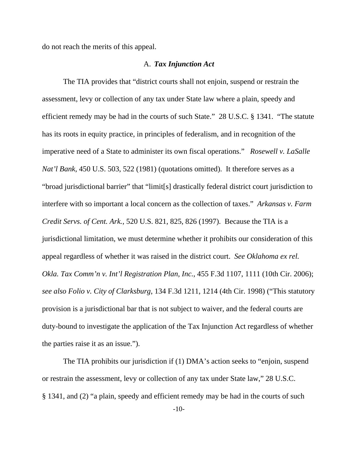do not reach the merits of this appeal.

### A. *Tax Injunction Act*

The TIA provides that "district courts shall not enjoin, suspend or restrain the assessment, levy or collection of any tax under State law where a plain, speedy and efficient remedy may be had in the courts of such State." 28 U.S.C. § 1341. "The statute has its roots in equity practice, in principles of federalism, and in recognition of the imperative need of a State to administer its own fiscal operations." *Rosewell v. LaSalle Nat'l Bank*, 450 U.S. 503, 522 (1981) (quotations omitted). It therefore serves as a "broad jurisdictional barrier" that "limit[s] drastically federal district court jurisdiction to interfere with so important a local concern as the collection of taxes." *Arkansas v. Farm Credit Servs. of Cent. Ark.*, 520 U.S. 821, 825, 826 (1997). Because the TIA is a jurisdictional limitation, we must determine whether it prohibits our consideration of this appeal regardless of whether it was raised in the district court. *See Oklahoma ex rel. Okla. Tax Comm'n v. Int'l Registration Plan, Inc.*, 455 F.3d 1107, 1111 (10th Cir. 2006); *see also Folio v. City of Clarksburg*, 134 F.3d 1211, 1214 (4th Cir. 1998) ("This statutory provision is a jurisdictional bar that is not subject to waiver, and the federal courts are duty-bound to investigate the application of the Tax Injunction Act regardless of whether the parties raise it as an issue.").

The TIA prohibits our jurisdiction if (1) DMA's action seeks to "enjoin, suspend or restrain the assessment, levy or collection of any tax under State law," 28 U.S.C. § 1341, and (2) "a plain, speedy and efficient remedy may be had in the courts of such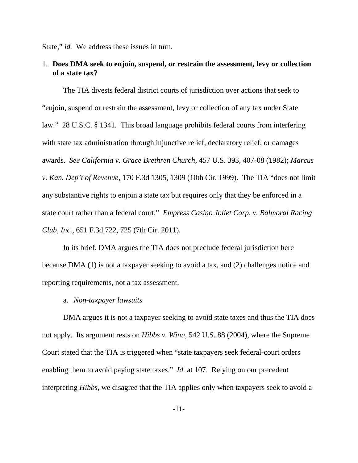State," *id.* We address these issues in turn.

# 1. **Does DMA seek to enjoin, suspend, or restrain the assessment, levy or collection of a state tax?**

The TIA divests federal district courts of jurisdiction over actions that seek to "enjoin, suspend or restrain the assessment, levy or collection of any tax under State law." 28 U.S.C. § 1341. This broad language prohibits federal courts from interfering with state tax administration through injunctive relief, declaratory relief, or damages awards. *See California v. Grace Brethren Church*, 457 U.S. 393, 407-08 (1982); *Marcus v. Kan. Dep't of Revenue*, 170 F.3d 1305, 1309 (10th Cir. 1999). The TIA "does not limit any substantive rights to enjoin a state tax but requires only that they be enforced in a state court rather than a federal court." *Empress Casino Joliet Corp. v. Balmoral Racing Club, Inc.*, 651 F.3d 722, 725 (7th Cir. 2011).

In its brief, DMA argues the TIA does not preclude federal jurisdiction here because DMA (1) is not a taxpayer seeking to avoid a tax, and (2) challenges notice and reporting requirements, not a tax assessment.

a. *Non-taxpayer lawsuits* 

DMA argues it is not a taxpayer seeking to avoid state taxes and thus the TIA does not apply. Its argument rests on *Hibbs v. Winn*, 542 U.S. 88 (2004), where the Supreme Court stated that the TIA is triggered when "state taxpayers seek federal-court orders enabling them to avoid paying state taxes." *Id.* at 107. Relying on our precedent interpreting *Hibbs*, we disagree that the TIA applies only when taxpayers seek to avoid a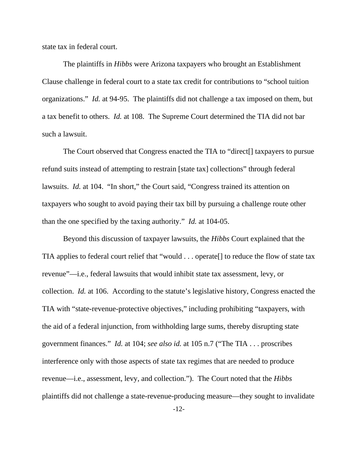state tax in federal court.

The plaintiffs in *Hibbs* were Arizona taxpayers who brought an Establishment Clause challenge in federal court to a state tax credit for contributions to "school tuition organizations." *Id.* at 94-95. The plaintiffs did not challenge a tax imposed on them, but a tax benefit to others. *Id.* at 108. The Supreme Court determined the TIA did not bar such a lawsuit.

The Court observed that Congress enacted the TIA to "direct[] taxpayers to pursue refund suits instead of attempting to restrain [state tax] collections" through federal lawsuits. *Id.* at 104. "In short," the Court said, "Congress trained its attention on taxpayers who sought to avoid paying their tax bill by pursuing a challenge route other than the one specified by the taxing authority." *Id.* at 104-05.

Beyond this discussion of taxpayer lawsuits, the *Hibbs* Court explained that the TIA applies to federal court relief that "would . . . operate[] to reduce the flow of state tax revenue"—i.e., federal lawsuits that would inhibit state tax assessment, levy, or collection. *Id.* at 106. According to the statute's legislative history, Congress enacted the TIA with "state-revenue-protective objectives," including prohibiting "taxpayers, with the aid of a federal injunction, from withholding large sums, thereby disrupting state government finances." *Id.* at 104; *see also id.* at 105 n.7 ("The TIA . . . proscribes interference only with those aspects of state tax regimes that are needed to produce revenue—i.e., assessment, levy, and collection."). The Court noted that the *Hibbs* plaintiffs did not challenge a state-revenue-producing measure—they sought to invalidate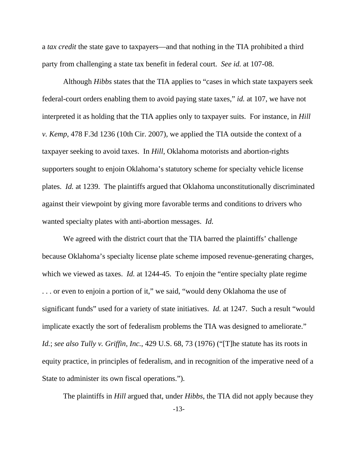a *tax credit* the state gave to taxpayers—and that nothing in the TIA prohibited a third party from challenging a state tax benefit in federal court. *See id.* at 107-08.

Although *Hibbs* states that the TIA applies to "cases in which state taxpayers seek federal-court orders enabling them to avoid paying state taxes," *id.* at 107, we have not interpreted it as holding that the TIA applies only to taxpayer suits. For instance, in *Hill v. Kemp*, 478 F.3d 1236 (10th Cir. 2007), we applied the TIA outside the context of a taxpayer seeking to avoid taxes. In *Hill*, Oklahoma motorists and abortion-rights supporters sought to enjoin Oklahoma's statutory scheme for specialty vehicle license plates. *Id.* at 1239. The plaintiffs argued that Oklahoma unconstitutionally discriminated against their viewpoint by giving more favorable terms and conditions to drivers who wanted specialty plates with anti-abortion messages. *Id.*

We agreed with the district court that the TIA barred the plaintiffs' challenge because Oklahoma's specialty license plate scheme imposed revenue-generating charges, which we viewed as taxes. *Id.* at 1244-45. To enjoin the "entire specialty plate regime . . . or even to enjoin a portion of it," we said, "would deny Oklahoma the use of significant funds" used for a variety of state initiatives. *Id.* at 1247. Such a result "would implicate exactly the sort of federalism problems the TIA was designed to ameliorate." *Id.*; *see also Tully v. Griffin, Inc.*, 429 U.S. 68, 73 (1976) ("[T]he statute has its roots in equity practice, in principles of federalism, and in recognition of the imperative need of a State to administer its own fiscal operations.").

The plaintiffs in *Hill* argued that, under *Hibbs*, the TIA did not apply because they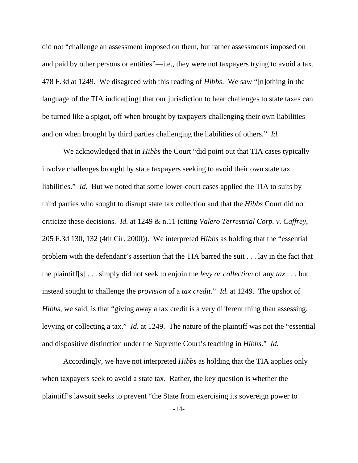did not "challenge an assessment imposed on them, but rather assessments imposed on and paid by other persons or entities"—i.e., they were not taxpayers trying to avoid a tax. 478 F.3d at 1249. We disagreed with this reading of *Hibbs*. We saw "[n]othing in the language of the TIA indicat [ing] that our jurisdiction to hear challenges to state taxes can be turned like a spigot, off when brought by taxpayers challenging their own liabilities and on when brought by third parties challenging the liabilities of others." *Id.*

We acknowledged that in *Hibbs* the Court "did point out that TIA cases typically involve challenges brought by state taxpayers seeking to avoid their own state tax liabilities." *Id.* But we noted that some lower-court cases applied the TIA to suits by third parties who sought to disrupt state tax collection and that the *Hibbs* Court did not criticize these decisions. *Id.* at 1249 & n.11 (citing *Valero Terrestrial Corp. v. Caffrey*, 205 F.3d 130, 132 (4th Cir. 2000)). We interpreted *Hibbs* as holding that the "essential problem with the defendant's assertion that the TIA barred the suit . . . lay in the fact that the plaintiff[s] . . . simply did not seek to enjoin the *levy or collection* of any *tax* . . . but instead sought to challenge the *provision* of a *tax credit.*" *Id.* at 1249. The upshot of *Hibbs*, we said, is that "giving away a tax credit is a very different thing than assessing, levying or collecting a tax." *Id.* at 1249. The nature of the plaintiff was not the "essential and dispositive distinction under the Supreme Court's teaching in *Hibbs*." *Id.*

Accordingly, we have not interpreted *Hibbs* as holding that the TIA applies only when taxpayers seek to avoid a state tax. Rather, the key question is whether the plaintiff's lawsuit seeks to prevent "the State from exercising its sovereign power to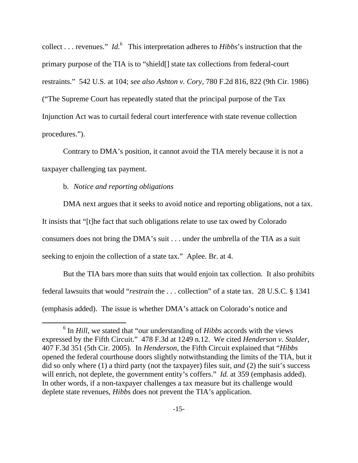collect . . . revenues." *Id.*<sup>6</sup> This interpretation adheres to *Hibbs*'s instruction that the primary purpose of the TIA is to "shield[] state tax collections from federal-court restraints." 542 U.S. at 104; *see also Ashton v. Cory*, 780 F.2d 816, 822 (9th Cir. 1986) ("The Supreme Court has repeatedly stated that the principal purpose of the Tax Injunction Act was to curtail federal court interference with state revenue collection procedures.").

Contrary to DMA's position, it cannot avoid the TIA merely because it is not a taxpayer challenging tax payment.

b. *Notice and reporting obligations* 

DMA next argues that it seeks to avoid notice and reporting obligations, not a tax. It insists that "[t]he fact that such obligations relate to use tax owed by Colorado consumers does not bring the DMA's suit . . . under the umbrella of the TIA as a suit seeking to enjoin the collection of a state tax." Aplee. Br. at 4.

But the TIA bars more than suits that would enjoin tax collection. It also prohibits federal lawsuits that would "*restrain* the . . . collection" of a state tax. 28 U.S.C. § 1341 (emphasis added). The issue is whether DMA's attack on Colorado's notice and

 <sup>6</sup> <sup>6</sup> In *Hill*, we stated that "our understanding of *Hibbs* accords with the views expressed by the Fifth Circuit." 478 F.3d at 1249 n.12. We cited *Henderson v. Stalder*, 407 F.3d 351 (5th Cir. 2005). In *Henderson*, the Fifth Circuit explained that "*Hibbs* opened the federal courthouse doors slightly notwithstanding the limits of the TIA, but it did so only where (1) a third party (not the taxpayer) files suit, *and* (2) the suit's success will enrich, not deplete, the government entity's coffers." *Id.* at 359 (emphasis added). In other words, if a non-taxpayer challenges a tax measure but its challenge would deplete state revenues, *Hibbs* does not prevent the TIA's application.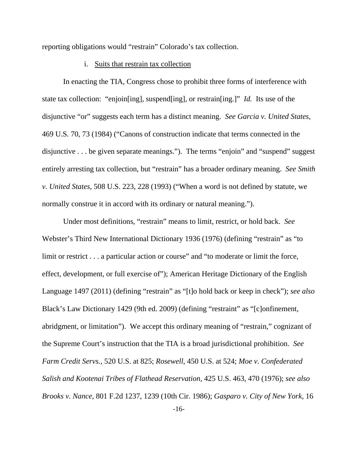reporting obligations would "restrain" Colorado's tax collection.

#### i. Suits that restrain tax collection

In enacting the TIA, Congress chose to prohibit three forms of interference with state tax collection: "enjoin[ing], suspend[ing], or restrain[ing.]" *Id.* Its use of the disjunctive "or" suggests each term has a distinct meaning. *See Garcia v. United States*, 469 U.S. 70, 73 (1984) ("Canons of construction indicate that terms connected in the disjunctive . . . be given separate meanings."). The terms "enjoin" and "suspend" suggest entirely arresting tax collection, but "restrain" has a broader ordinary meaning. *See Smith v. United States*, 508 U.S. 223, 228 (1993) ("When a word is not defined by statute, we normally construe it in accord with its ordinary or natural meaning.").

Under most definitions, "restrain" means to limit, restrict, or hold back. *See*  Webster's Third New International Dictionary 1936 (1976) (defining "restrain" as "to limit or restrict . . . a particular action or course" and "to moderate or limit the force, effect, development, or full exercise of"); American Heritage Dictionary of the English Language 1497 (2011) (defining "restrain" as "[t]o hold back or keep in check"); *see also*  Black's Law Dictionary 1429 (9th ed. 2009) (defining "restraint" as "[c]onfinement, abridgment, or limitation"). We accept this ordinary meaning of "restrain," cognizant of the Supreme Court's instruction that the TIA is a broad jurisdictional prohibition. *See Farm Credit Servs.*, 520 U.S. at 825; *Rosewell*, 450 U.S. at 524; *Moe v. Confederated Salish and Kootenai Tribes of Flathead Reservation,* 425 U.S. 463, 470 (1976); *see also Brooks v. Nance*, 801 F.2d 1237, 1239 (10th Cir. 1986); *Gasparo v. City of New York*, 16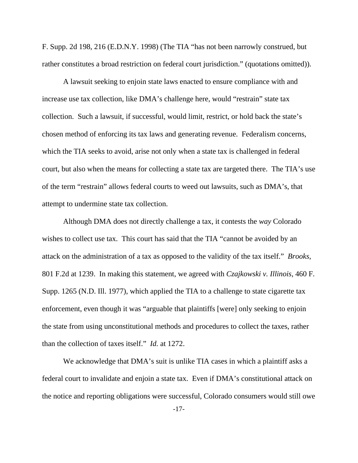F. Supp. 2d 198, 216 (E.D.N.Y. 1998) (The TIA "has not been narrowly construed, but rather constitutes a broad restriction on federal court jurisdiction." (quotations omitted)).

A lawsuit seeking to enjoin state laws enacted to ensure compliance with and increase use tax collection, like DMA's challenge here, would "restrain" state tax collection. Such a lawsuit, if successful, would limit, restrict, or hold back the state's chosen method of enforcing its tax laws and generating revenue. Federalism concerns, which the TIA seeks to avoid, arise not only when a state tax is challenged in federal court, but also when the means for collecting a state tax are targeted there. The TIA's use of the term "restrain" allows federal courts to weed out lawsuits, such as DMA's, that attempt to undermine state tax collection.

Although DMA does not directly challenge a tax, it contests the *way* Colorado wishes to collect use tax. This court has said that the TIA "cannot be avoided by an attack on the administration of a tax as opposed to the validity of the tax itself." *Brooks*, 801 F.2d at 1239. In making this statement, we agreed with *Czajkowski v. Illinois*, 460 F. Supp. 1265 (N.D. Ill. 1977), which applied the TIA to a challenge to state cigarette tax enforcement, even though it was "arguable that plaintiffs [were] only seeking to enjoin the state from using unconstitutional methods and procedures to collect the taxes, rather than the collection of taxes itself." *Id.* at 1272.

We acknowledge that DMA's suit is unlike TIA cases in which a plaintiff asks a federal court to invalidate and enjoin a state tax. Even if DMA's constitutional attack on the notice and reporting obligations were successful, Colorado consumers would still owe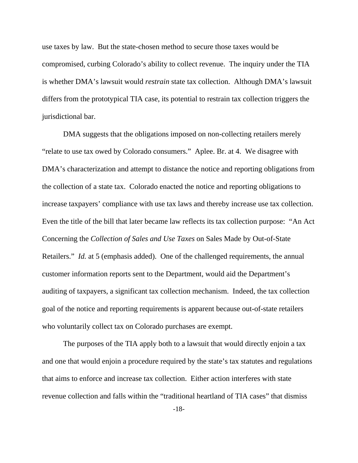use taxes by law. But the state-chosen method to secure those taxes would be compromised, curbing Colorado's ability to collect revenue. The inquiry under the TIA is whether DMA's lawsuit would *restrain* state tax collection. Although DMA's lawsuit differs from the prototypical TIA case, its potential to restrain tax collection triggers the jurisdictional bar.

DMA suggests that the obligations imposed on non-collecting retailers merely "relate to use tax owed by Colorado consumers." Aplee. Br. at 4. We disagree with DMA's characterization and attempt to distance the notice and reporting obligations from the collection of a state tax. Colorado enacted the notice and reporting obligations to increase taxpayers' compliance with use tax laws and thereby increase use tax collection. Even the title of the bill that later became law reflects its tax collection purpose: "An Act Concerning the *Collection of Sales and Use Taxes* on Sales Made by Out-of-State Retailers." *Id.* at 5 (emphasis added). One of the challenged requirements, the annual customer information reports sent to the Department, would aid the Department's auditing of taxpayers, a significant tax collection mechanism. Indeed, the tax collection goal of the notice and reporting requirements is apparent because out-of-state retailers who voluntarily collect tax on Colorado purchases are exempt.

The purposes of the TIA apply both to a lawsuit that would directly enjoin a tax and one that would enjoin a procedure required by the state's tax statutes and regulations that aims to enforce and increase tax collection. Either action interferes with state revenue collection and falls within the "traditional heartland of TIA cases" that dismiss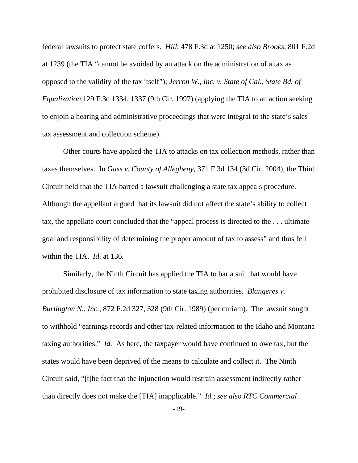federal lawsuits to protect state coffers. *Hill*, 478 F.3d at 1250; *see also Brooks*, 801 F.2d at 1239 (the TIA "cannot be avoided by an attack on the administration of a tax as opposed to the validity of the tax itself"); *Jerron W., Inc. v. State of Cal., State Bd. of Equalization,*129 F.3d 1334, 1337 (9th Cir. 1997) (applying the TIA to an action seeking to enjoin a hearing and administrative proceedings that were integral to the state's sales tax assessment and collection scheme).

Other courts have applied the TIA to attacks on tax collection methods, rather than taxes themselves. In *Gass v. County of Allegheny*, 371 F.3d 134 (3d Cir. 2004), the Third Circuit held that the TIA barred a lawsuit challenging a state tax appeals procedure. Although the appellant argued that its lawsuit did not affect the state's ability to collect tax, the appellate court concluded that the "appeal process is directed to the . . . ultimate goal and responsibility of determining the proper amount of tax to assess" and thus fell within the TIA. *Id.* at 136.

Similarly, the Ninth Circuit has applied the TIA to bar a suit that would have prohibited disclosure of tax information to state taxing authorities. *Blangeres v. Burlington N., Inc.*, 872 F.2d 327, 328 (9th Cir. 1989) (per curiam). The lawsuit sought to withhold "earnings records and other tax-related information to the Idaho and Montana taxing authorities." *Id.* As here, the taxpayer would have continued to owe tax, but the states would have been deprived of the means to calculate and collect it. The Ninth Circuit said, "[t]he fact that the injunction would restrain assessment indirectly rather than directly does not make the [TIA] inapplicable." *Id.*; *see also RTC Commercial*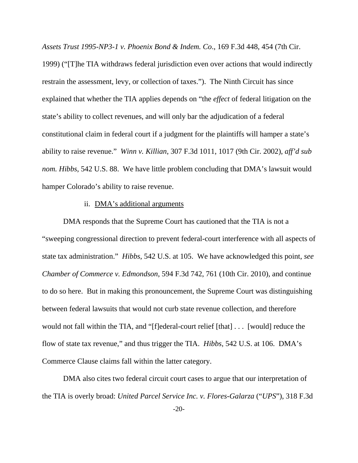*Assets Trust 1995-NP3-1 v. Phoenix Bond & Indem. Co*., 169 F.3d 448, 454 (7th Cir.

1999) ("[T]he TIA withdraws federal jurisdiction even over actions that would indirectly restrain the assessment, levy, or collection of taxes."). The Ninth Circuit has since explained that whether the TIA applies depends on "the *effect* of federal litigation on the state's ability to collect revenues, and will only bar the adjudication of a federal constitutional claim in federal court if a judgment for the plaintiffs will hamper a state's ability to raise revenue." *Winn v. Killian*, 307 F.3d 1011, 1017 (9th Cir. 2002), *aff'd sub nom. Hibbs*, 542 U.S. 88. We have little problem concluding that DMA's lawsuit would hamper Colorado's ability to raise revenue.

#### ii. DMA's additional arguments

DMA responds that the Supreme Court has cautioned that the TIA is not a "sweeping congressional direction to prevent federal-court interference with all aspects of state tax administration." *Hibbs*, 542 U.S. at 105. We have acknowledged this point, *see Chamber of Commerce v. Edmondson*, 594 F.3d 742, 761 (10th Cir. 2010), and continue to do so here. But in making this pronouncement, the Supreme Court was distinguishing between federal lawsuits that would not curb state revenue collection, and therefore would not fall within the TIA, and "[f]ederal-court relief [that] . . . [would] reduce the flow of state tax revenue," and thus trigger the TIA. *Hibbs*, 542 U.S. at 106. DMA's Commerce Clause claims fall within the latter category.

DMA also cites two federal circuit court cases to argue that our interpretation of the TIA is overly broad: *United Parcel Service Inc. v. Flores-Galarza* ("*UPS*"), 318 F.3d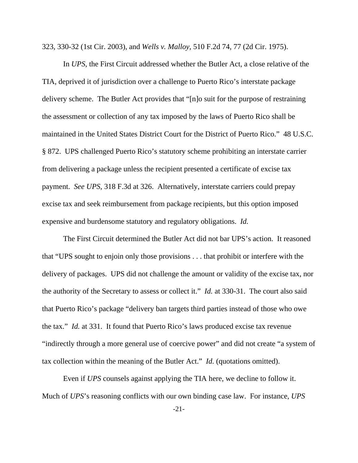323, 330-32 (1st Cir. 2003), and *Wells v. Malloy*, 510 F.2d 74, 77 (2d Cir. 1975).

In *UPS*, the First Circuit addressed whether the Butler Act, a close relative of the TIA, deprived it of jurisdiction over a challenge to Puerto Rico's interstate package delivery scheme. The Butler Act provides that "[n]o suit for the purpose of restraining the assessment or collection of any tax imposed by the laws of Puerto Rico shall be maintained in the United States District Court for the District of Puerto Rico." 48 U.S.C. § 872. UPS challenged Puerto Rico's statutory scheme prohibiting an interstate carrier from delivering a package unless the recipient presented a certificate of excise tax payment. *See UPS*, 318 F.3d at 326. Alternatively, interstate carriers could prepay excise tax and seek reimbursement from package recipients, but this option imposed expensive and burdensome statutory and regulatory obligations. *Id.* 

The First Circuit determined the Butler Act did not bar UPS's action. It reasoned that "UPS sought to enjoin only those provisions . . . that prohibit or interfere with the delivery of packages. UPS did not challenge the amount or validity of the excise tax, nor the authority of the Secretary to assess or collect it." *Id.* at 330-31. The court also said that Puerto Rico's package "delivery ban targets third parties instead of those who owe the tax." *Id.* at 331. It found that Puerto Rico's laws produced excise tax revenue "indirectly through a more general use of coercive power" and did not create "a system of tax collection within the meaning of the Butler Act." *Id.* (quotations omitted).

Even if *UPS* counsels against applying the TIA here, we decline to follow it. Much of *UPS*'s reasoning conflicts with our own binding case law. For instance, *UPS*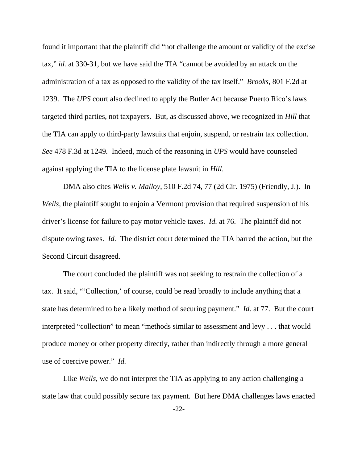found it important that the plaintiff did "not challenge the amount or validity of the excise tax," *id.* at 330-31, but we have said the TIA "cannot be avoided by an attack on the administration of a tax as opposed to the validity of the tax itself." *Brooks*, 801 F.2d at 1239. The *UPS* court also declined to apply the Butler Act because Puerto Rico's laws targeted third parties, not taxpayers. But, as discussed above, we recognized in *Hill* that the TIA can apply to third-party lawsuits that enjoin, suspend, or restrain tax collection. *See* 478 F.3d at 1249*.* Indeed, much of the reasoning in *UPS* would have counseled against applying the TIA to the license plate lawsuit in *Hill*.

DMA also cites *Wells v. Malloy*, 510 F.2d 74, 77 (2d Cir. 1975) (Friendly, J.). In *Wells*, the plaintiff sought to enjoin a Vermont provision that required suspension of his driver's license for failure to pay motor vehicle taxes. *Id.* at 76. The plaintiff did not dispute owing taxes. *Id.* The district court determined the TIA barred the action, but the Second Circuit disagreed.

The court concluded the plaintiff was not seeking to restrain the collection of a tax. It said, "'Collection,' of course, could be read broadly to include anything that a state has determined to be a likely method of securing payment." *Id.* at 77. But the court interpreted "collection" to mean "methods similar to assessment and levy . . . that would produce money or other property directly, rather than indirectly through a more general use of coercive power." *Id.*

Like *Wells*, we do not interpret the TIA as applying to any action challenging a state law that could possibly secure tax payment. But here DMA challenges laws enacted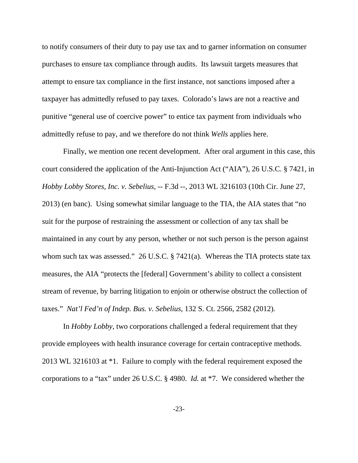to notify consumers of their duty to pay use tax and to garner information on consumer purchases to ensure tax compliance through audits. Its lawsuit targets measures that attempt to ensure tax compliance in the first instance, not sanctions imposed after a taxpayer has admittedly refused to pay taxes. Colorado's laws are not a reactive and punitive "general use of coercive power" to entice tax payment from individuals who admittedly refuse to pay, and we therefore do not think *Wells* applies here.

Finally, we mention one recent development. After oral argument in this case, this court considered the application of the Anti-Injunction Act ("AIA"), 26 U.S.C. § 7421, in *Hobby Lobby Stores, Inc. v. Sebelius*, -- F.3d --, 2013 WL 3216103 (10th Cir. June 27, 2013) (en banc). Using somewhat similar language to the TIA, the AIA states that "no suit for the purpose of restraining the assessment or collection of any tax shall be maintained in any court by any person, whether or not such person is the person against whom such tax was assessed." 26 U.S.C. § 7421(a). Whereas the TIA protects state tax measures, the AIA "protects the [federal] Government's ability to collect a consistent stream of revenue, by barring litigation to enjoin or otherwise obstruct the collection of taxes." *Nat'l Fed'n of Indep. Bus. v. Sebelius*, 132 S. Ct. 2566, 2582 (2012).

In *Hobby Lobby*, two corporations challenged a federal requirement that they provide employees with health insurance coverage for certain contraceptive methods. 2013 WL 3216103 at \*1. Failure to comply with the federal requirement exposed the corporations to a "tax" under 26 U.S.C. § 4980. *Id.* at \*7. We considered whether the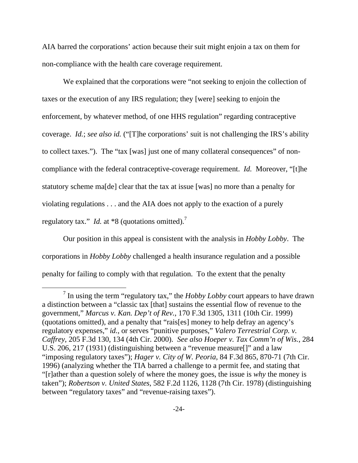AIA barred the corporations' action because their suit might enjoin a tax on them for non-compliance with the health care coverage requirement.

We explained that the corporations were "not seeking to enjoin the collection of taxes or the execution of any IRS regulation; they [were] seeking to enjoin the enforcement, by whatever method, of one HHS regulation" regarding contraceptive coverage. *Id.*; *see also id.* ("[T]he corporations' suit is not challenging the IRS's ability to collect taxes."). The "tax [was] just one of many collateral consequences" of noncompliance with the federal contraceptive-coverage requirement. *Id.* Moreover, "[t]he statutory scheme ma[de] clear that the tax at issue [was] no more than a penalty for violating regulations . . . and the AIA does not apply to the exaction of a purely regulatory tax." *Id.* at \*8 (quotations omitted).<sup>7</sup>

Our position in this appeal is consistent with the analysis in *Hobby Lobby*. The corporations in *Hobby Lobby* challenged a health insurance regulation and a possible penalty for failing to comply with that regulation. To the extent that the penalty

 $\frac{1}{7}$  $\frac{7}{1}$  In using the term "regulatory tax," the *Hobby Lobby* court appears to have drawn a distinction between a "classic tax [that] sustains the essential flow of revenue to the government," *Marcus v. Kan. Dep't of Rev.*, 170 F.3d 1305, 1311 (10th Cir. 1999) (quotations omitted), and a penalty that "rais[es] money to help defray an agency's regulatory expenses," *id.*, or serves "punitive purposes," *Valero Terrestrial Corp. v. Caffrey*, 205 F.3d 130, 134 (4th Cir. 2000). *See also Hoeper v. Tax Comm'n of Wis.*, 284 U.S. 206, 217 (1931) (distinguishing between a "revenue measure[]" and a law "imposing regulatory taxes"); *Hager v. City of W. Peoria*, 84 F.3d 865, 870-71 (7th Cir. 1996) (analyzing whether the TIA barred a challenge to a permit fee, and stating that "[r]ather than a question solely of where the money goes, the issue is *why* the money is taken"); *Robertson v. United States*, 582 F.2d 1126, 1128 (7th Cir. 1978) (distinguishing between "regulatory taxes" and "revenue-raising taxes").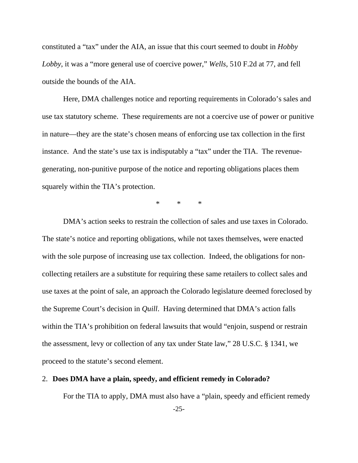constituted a "tax" under the AIA, an issue that this court seemed to doubt in *Hobby Lobby*, it was a "more general use of coercive power," *Wells*, 510 F.2d at 77, and fell outside the bounds of the AIA.

Here, DMA challenges notice and reporting requirements in Colorado's sales and use tax statutory scheme. These requirements are not a coercive use of power or punitive in nature—they are the state's chosen means of enforcing use tax collection in the first instance. And the state's use tax is indisputably a "tax" under the TIA. The revenuegenerating, non-punitive purpose of the notice and reporting obligations places them squarely within the TIA's protection.

\* \* \*

DMA's action seeks to restrain the collection of sales and use taxes in Colorado. The state's notice and reporting obligations, while not taxes themselves, were enacted with the sole purpose of increasing use tax collection. Indeed, the obligations for noncollecting retailers are a substitute for requiring these same retailers to collect sales and use taxes at the point of sale, an approach the Colorado legislature deemed foreclosed by the Supreme Court's decision in *Quill*. Having determined that DMA's action falls within the TIA's prohibition on federal lawsuits that would "enjoin, suspend or restrain the assessment, levy or collection of any tax under State law," 28 U.S.C. § 1341, we proceed to the statute's second element.

## 2. **Does DMA have a plain, speedy, and efficient remedy in Colorado?**

For the TIA to apply, DMA must also have a "plain, speedy and efficient remedy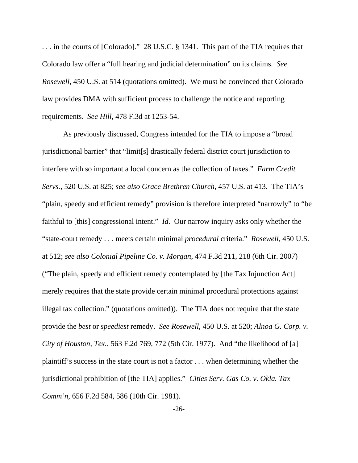. . . in the courts of [Colorado]." 28 U.S.C. § 1341. This part of the TIA requires that Colorado law offer a "full hearing and judicial determination" on its claims. *See Rosewell*, 450 U.S. at 514 (quotations omitted). We must be convinced that Colorado law provides DMA with sufficient process to challenge the notice and reporting requirements. *See Hill*, 478 F.3d at 1253-54.

As previously discussed, Congress intended for the TIA to impose a "broad jurisdictional barrier" that "limit[s] drastically federal district court jurisdiction to interfere with so important a local concern as the collection of taxes." *Farm Credit Servs.*, 520 U.S. at 825; *see also Grace Brethren Church*, 457 U.S. at 413. The TIA's "plain, speedy and efficient remedy" provision is therefore interpreted "narrowly" to "be faithful to [this] congressional intent." *Id.* Our narrow inquiry asks only whether the "state-court remedy . . . meets certain minimal *procedural* criteria." *Rosewell*, 450 U.S. at 512; *see also Colonial Pipeline Co. v. Morgan*, 474 F.3d 211, 218 (6th Cir. 2007) ("The plain, speedy and efficient remedy contemplated by [the Tax Injunction Act] merely requires that the state provide certain minimal procedural protections against illegal tax collection." (quotations omitted)). The TIA does not require that the state provide the *best* or *speediest* remedy. *See Rosewell*, 450 U.S. at 520; *Alnoa G. Corp. v. City of Houston, Tex.*, 563 F.2d 769, 772 (5th Cir. 1977). And "the likelihood of [a] plaintiff's success in the state court is not a factor . . . when determining whether the jurisdictional prohibition of [the TIA] applies." *Cities Serv. Gas Co. v. Okla. Tax Comm'n*, 656 F.2d 584, 586 (10th Cir. 1981).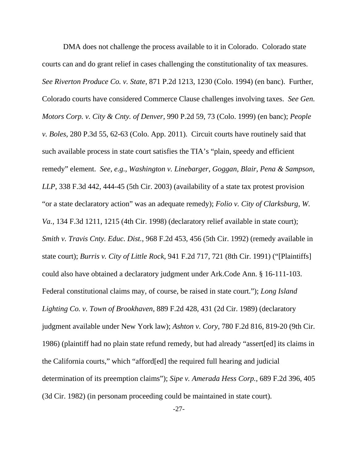DMA does not challenge the process available to it in Colorado. Colorado state courts can and do grant relief in cases challenging the constitutionality of tax measures. *See Riverton Produce Co. v. State*, 871 P.2d 1213, 1230 (Colo. 1994) (en banc). Further, Colorado courts have considered Commerce Clause challenges involving taxes. *See Gen. Motors Corp. v. City & Cnty. of Denver*, 990 P.2d 59, 73 (Colo. 1999) (en banc); *People v. Boles*, 280 P.3d 55, 62-63 (Colo. App. 2011). Circuit courts have routinely said that such available process in state court satisfies the TIA's "plain, speedy and efficient remedy" element. *See, e.g.*, *Washington v. Linebarger, Goggan, Blair, Pena & Sampson, LLP*, 338 F.3d 442, 444-45 (5th Cir. 2003) (availability of a state tax protest provision "or a state declaratory action" was an adequate remedy); *Folio v. City of Clarksburg, W. Va.*, 134 F.3d 1211, 1215 (4th Cir. 1998) (declaratory relief available in state court); *Smith v. Travis Cnty. Educ. Dist.*, 968 F.2d 453, 456 (5th Cir. 1992) (remedy available in state court); *Burris v. City of Little Rock*, 941 F.2d 717, 721 (8th Cir. 1991) ("[Plaintiffs] could also have obtained a declaratory judgment under Ark.Code Ann. § 16-111-103. Federal constitutional claims may, of course, be raised in state court."); *Long Island Lighting Co. v. Town of Brookhaven*, 889 F.2d 428, 431 (2d Cir. 1989) (declaratory judgment available under New York law); *Ashton v. Cory*, 780 F.2d 816, 819-20 (9th Cir. 1986) (plaintiff had no plain state refund remedy, but had already "assert[ed] its claims in the California courts," which "afford[ed] the required full hearing and judicial determination of its preemption claims"); *Sipe v. Amerada Hess Corp.*, 689 F.2d 396, 405 (3d Cir. 1982) (in personam proceeding could be maintained in state court).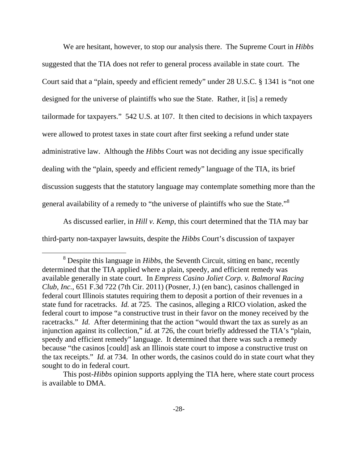We are hesitant, however, to stop our analysis there. The Supreme Court in *Hibbs*  suggested that the TIA does not refer to general process available in state court. The Court said that a "plain, speedy and efficient remedy" under 28 U.S.C. § 1341 is "not one designed for the universe of plaintiffs who sue the State. Rather, it [is] a remedy tailormade for taxpayers." 542 U.S. at 107. It then cited to decisions in which taxpayers were allowed to protest taxes in state court after first seeking a refund under state administrative law. Although the *Hibbs* Court was not deciding any issue specifically dealing with the "plain, speedy and efficient remedy" language of the TIA, its brief discussion suggests that the statutory language may contemplate something more than the general availability of a remedy to "the universe of plaintiffs who sue the State."<sup>8</sup>

As discussed earlier, in *Hill v. Kemp*, this court determined that the TIA may bar third-party non-taxpayer lawsuits, despite the *Hibbs* Court's discussion of taxpayer

 <sup>8</sup> Despite this language in *Hibbs*, the Seventh Circuit, sitting en banc, recently determined that the TIA applied where a plain, speedy, and efficient remedy was available generally in state court. In *Empress Casino Joliet Corp. v. Balmoral Racing Club, Inc.*, 651 F.3d 722 (7th Cir. 2011) (Posner, J.) (en banc), casinos challenged in federal court Illinois statutes requiring them to deposit a portion of their revenues in a state fund for racetracks. *Id.* at 725. The casinos, alleging a RICO violation, asked the federal court to impose "a constructive trust in their favor on the money received by the racetracks." *Id.* After determining that the action "would thwart the tax as surely as an injunction against its collection," *id.* at 726, the court briefly addressed the TIA's "plain, speedy and efficient remedy" language. It determined that there was such a remedy because "the casinos [could] ask an Illinois state court to impose a constructive trust on the tax receipts." *Id.* at 734. In other words, the casinos could do in state court what they sought to do in federal court.

This post-*Hibbs* opinion supports applying the TIA here, where state court process is available to DMA.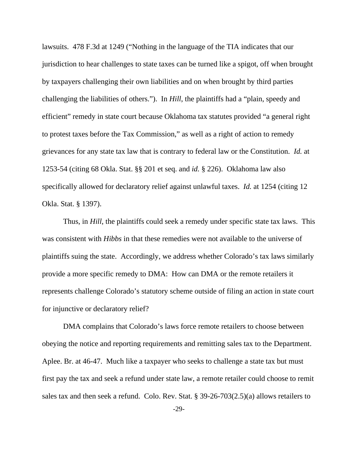lawsuits. 478 F.3d at 1249 ("Nothing in the language of the TIA indicates that our jurisdiction to hear challenges to state taxes can be turned like a spigot, off when brought by taxpayers challenging their own liabilities and on when brought by third parties challenging the liabilities of others."). In *Hill*, the plaintiffs had a "plain, speedy and efficient" remedy in state court because Oklahoma tax statutes provided "a general right to protest taxes before the Tax Commission," as well as a right of action to remedy grievances for any state tax law that is contrary to federal law or the Constitution. *Id.* at 1253-54 (citing 68 Okla. Stat. §§ 201 et seq. and *id.* § 226). Oklahoma law also specifically allowed for declaratory relief against unlawful taxes. *Id.* at 1254 (citing 12 Okla. Stat. § 1397).

Thus, in *Hill*, the plaintiffs could seek a remedy under specific state tax laws. This was consistent with *Hibbs* in that these remedies were not available to the universe of plaintiffs suing the state. Accordingly, we address whether Colorado's tax laws similarly provide a more specific remedy to DMA: How can DMA or the remote retailers it represents challenge Colorado's statutory scheme outside of filing an action in state court for injunctive or declaratory relief?

DMA complains that Colorado's laws force remote retailers to choose between obeying the notice and reporting requirements and remitting sales tax to the Department. Aplee. Br. at 46-47. Much like a taxpayer who seeks to challenge a state tax but must first pay the tax and seek a refund under state law, a remote retailer could choose to remit sales tax and then seek a refund. Colo. Rev. Stat. § 39-26-703(2.5)(a) allows retailers to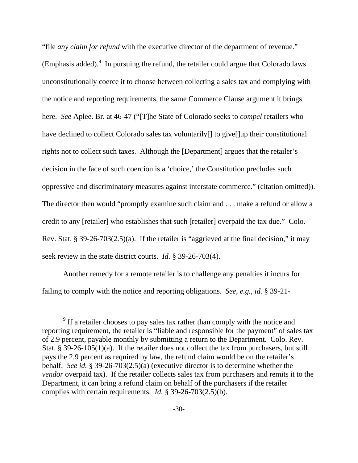"file *any claim for refund* with the executive director of the department of revenue." (Emphasis added). $9$  In pursuing the refund, the retailer could argue that Colorado laws unconstitutionally coerce it to choose between collecting a sales tax and complying with the notice and reporting requirements, the same Commerce Clause argument it brings here. *See* Aplee. Br. at 46-47 ("[T]he State of Colorado seeks to *compel* retailers who have declined to collect Colorado sales tax voluntarily<sup>[]</sup> to give up their constitutional rights not to collect such taxes. Although the [Department] argues that the retailer's decision in the face of such coercion is a 'choice,' the Constitution precludes such oppressive and discriminatory measures against interstate commerce." (citation omitted)). The director then would "promptly examine such claim and . . . make a refund or allow a credit to any [retailer] who establishes that such [retailer] overpaid the tax due." Colo. Rev. Stat. § 39-26-703(2.5)(a). If the retailer is "aggrieved at the final decision," it may seek review in the state district courts. *Id.* § 39-26-703(4).

Another remedy for a remote retailer is to challenge any penalties it incurs for failing to comply with the notice and reporting obligations. *See, e.g.*, *id.* § 39-21-

 $\frac{1}{9}$  $<sup>9</sup>$  If a retailer chooses to pay sales tax rather than comply with the notice and</sup> reporting requirement, the retailer is "liable and responsible for the payment" of sales tax of 2.9 percent, payable monthly by submitting a return to the Department. Colo. Rev. Stat. § 39-26-105(1)(a). If the retailer does not collect the tax from purchasers, but still pays the 2.9 percent as required by law, the refund claim would be on the retailer's behalf. *See id.* § 39-26-703(2.5)(a) (executive director is to determine whether the *vendor* overpaid tax). If the retailer collects sales tax from purchasers and remits it to the Department, it can bring a refund claim on behalf of the purchasers if the retailer complies with certain requirements. *Id.* § 39-26-703(2.5)(b).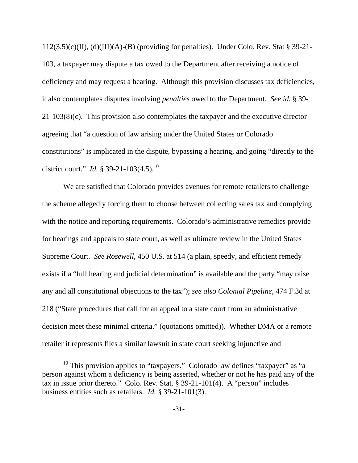$112(3.5)(c)(II)$ , (d)(III)(A)-(B) (providing for penalties). Under Colo. Rev. Stat § 39-21-103, a taxpayer may dispute a tax owed to the Department after receiving a notice of deficiency and may request a hearing. Although this provision discusses tax deficiencies, it also contemplates disputes involving *penalties* owed to the Department. *See id.* § 39- 21-103(8)(c). This provision also contemplates the taxpayer and the executive director agreeing that "a question of law arising under the United States or Colorado constitutions" is implicated in the dispute, bypassing a hearing, and going "directly to the district court." *Id.* § 39-21-103(4.5).<sup>10</sup>

We are satisfied that Colorado provides avenues for remote retailers to challenge the scheme allegedly forcing them to choose between collecting sales tax and complying with the notice and reporting requirements. Colorado's administrative remedies provide for hearings and appeals to state court, as well as ultimate review in the United States Supreme Court. *See Rosewell*, 450 U.S. at 514 (a plain, speedy, and efficient remedy exists if a "full hearing and judicial determination" is available and the party "may raise any and all constitutional objections to the tax"); *see also Colonial Pipeline*, 474 F.3d at 218 ("State procedures that call for an appeal to a state court from an administrative decision meet these minimal criteria." (quotations omitted)). Whether DMA or a remote retailer it represents files a similar lawsuit in state court seeking injunctive and

 $10$  This provision applies to "taxpayers." Colorado law defines "taxpayer" as "a person against whom a deficiency is being asserted, whether or not he has paid any of the tax in issue prior thereto." Colo. Rev. Stat. § 39-21-101(4). A "person" includes business entities such as retailers. *Id.* § 39-21-101(3).